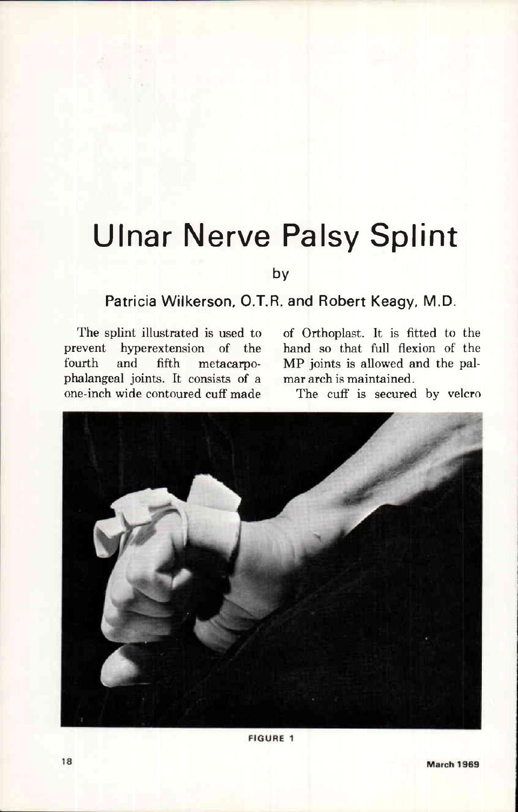## **Ulnar Nerve Palsy Splint**

**by** 

## **Patricia Wilkerson, O.T.R. and Robert Keagy, M.D.**

The splint illustrated is used to prevent hyperextension of the fourth and fifth metacarpophalangeal joints. It consists of a one-inch wide contoured cuff made of Orthoplast. It is fitted to the hand so that full flexion of the MP joints is allowed and the palmar arch is maintained.

The cuff is secured by velcro